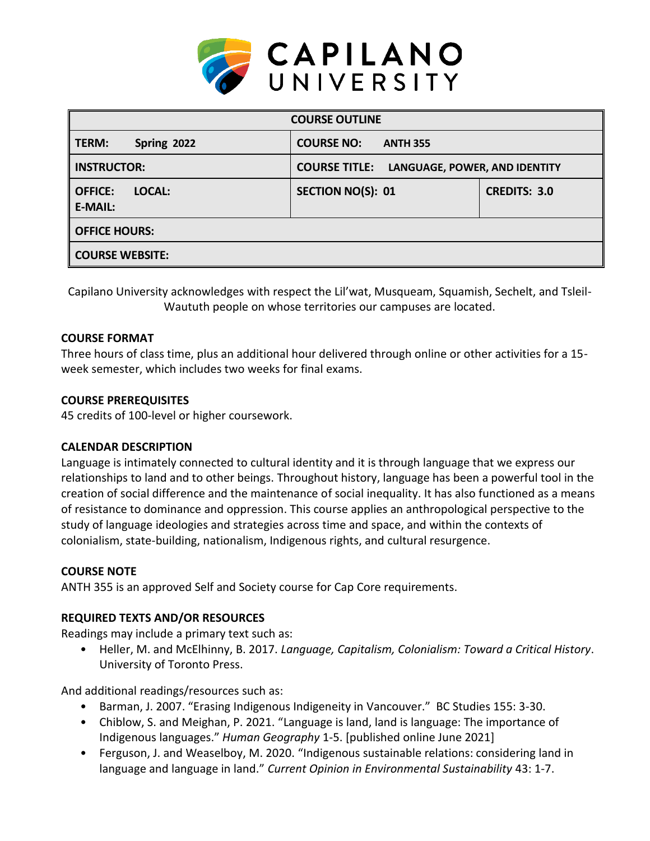

| <b>COURSE OUTLINE</b>                      |                                                       |                     |  |  |  |  |
|--------------------------------------------|-------------------------------------------------------|---------------------|--|--|--|--|
| <b>TERM:</b><br>Spring 2022                | <b>COURSE NO:</b><br><b>ANTH 355</b>                  |                     |  |  |  |  |
| <b>INSTRUCTOR:</b>                         | <b>COURSE TITLE:</b><br>LANGUAGE, POWER, AND IDENTITY |                     |  |  |  |  |
| <b>OFFICE:</b><br>LOCAL:<br><b>E-MAIL:</b> | <b>SECTION NO(S): 01</b>                              | <b>CREDITS: 3.0</b> |  |  |  |  |
| <b>OFFICE HOURS:</b>                       |                                                       |                     |  |  |  |  |
| <b>COURSE WEBSITE:</b>                     |                                                       |                     |  |  |  |  |

Capilano University acknowledges with respect the Lil'wat, Musqueam, Squamish, Sechelt, and Tsleil-Waututh people on whose territories our campuses are located.

### **COURSE FORMAT**

Three hours of class time, plus an additional hour delivered through online or other activities for a 15 week semester, which includes two weeks for final exams.

#### **COURSE PREREQUISITES**

45 credits of 100-level or higher coursework.

### **CALENDAR DESCRIPTION**

Language is intimately connected to cultural identity and it is through language that we express our relationships to land and to other beings. Throughout history, language has been a powerful tool in the creation of social difference and the maintenance of social inequality. It has also functioned as a means of resistance to dominance and oppression. This course applies an anthropological perspective to the study of language ideologies and strategies across time and space, and within the contexts of colonialism, state-building, nationalism, Indigenous rights, and cultural resurgence.

### **COURSE NOTE**

ANTH 355 is an approved Self and Society course for Cap Core requirements.

### **REQUIRED TEXTS AND/OR RESOURCES**

Readings may include a primary text such as:

• Heller, M. and McElhinny, B. 2017. *Language, Capitalism, Colonialism: Toward a Critical History*. University of Toronto Press.

And additional readings/resources such as:

- Barman, J. 2007. "Erasing Indigenous Indigeneity in Vancouver." BC Studies 155: 3-30.
- Chiblow, S. and Meighan, P. 2021. "Language is land, land is language: The importance of Indigenous languages." *Human Geography* 1-5. [published online June 2021]
- Ferguson, J. and Weaselboy, M. 2020. "Indigenous sustainable relations: considering land in language and language in land." *Current Opinion in Environmental Sustainability* 43: 1-7.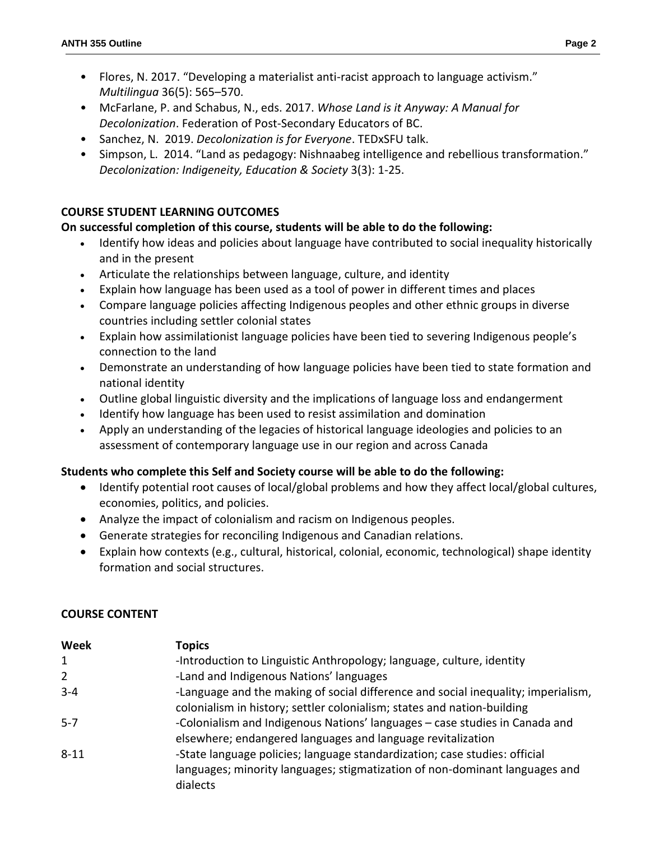- Flores, N. 2017. "Developing a materialist anti-racist approach to language activism." *Multilingua* 36(5): 565–570.
- McFarlane, P. and Schabus, N., eds. 2017. *Whose Land is it Anyway: A Manual for Decolonization*. Federation of Post-Secondary Educators of BC.
- Sanchez, N. 2019. *Decolonization is for Everyone*. TEDxSFU talk.
- Simpson, L. 2014. "Land as pedagogy: Nishnaabeg intelligence and rebellious transformation." *Decolonization: Indigeneity, Education & Society* 3(3): 1-25.

# **COURSE STUDENT LEARNING OUTCOMES**

# **On successful completion of this course, students will be able to do the following:**

- Identify how ideas and policies about language have contributed to social inequality historically and in the present
- Articulate the relationships between language, culture, and identity
- Explain how language has been used as a tool of power in different times and places
- Compare language policies affecting Indigenous peoples and other ethnic groups in diverse countries including settler colonial states
- Explain how assimilationist language policies have been tied to severing Indigenous people's connection to the land
- Demonstrate an understanding of how language policies have been tied to state formation and national identity
- Outline global linguistic diversity and the implications of language loss and endangerment
- Identify how language has been used to resist assimilation and domination
- Apply an understanding of the legacies of historical language ideologies and policies to an assessment of contemporary language use in our region and across Canada

## **Students who complete this Self and Society course will be able to do the following:**

- Identify potential root causes of local/global problems and how they affect local/global cultures, economies, politics, and policies.
- Analyze the impact of colonialism and racism on Indigenous peoples.
- Generate strategies for reconciling Indigenous and Canadian relations.
- Explain how contexts (e.g., cultural, historical, colonial, economic, technological) shape identity formation and social structures.

## **COURSE CONTENT**

| Week         | <b>Topics</b>                                                                                                                                                         |
|--------------|-----------------------------------------------------------------------------------------------------------------------------------------------------------------------|
| $\mathbf{1}$ | -Introduction to Linguistic Anthropology; language, culture, identity                                                                                                 |
| 2            | -Land and Indigenous Nations' languages                                                                                                                               |
| $3 - 4$      | -Language and the making of social difference and social inequality; imperialism,<br>colonialism in history; settler colonialism; states and nation-building          |
| $5 - 7$      | -Colonialism and Indigenous Nations' languages - case studies in Canada and<br>elsewhere; endangered languages and language revitalization                            |
| $8 - 11$     | -State language policies; language standardization; case studies: official<br>languages; minority languages; stigmatization of non-dominant languages and<br>dialects |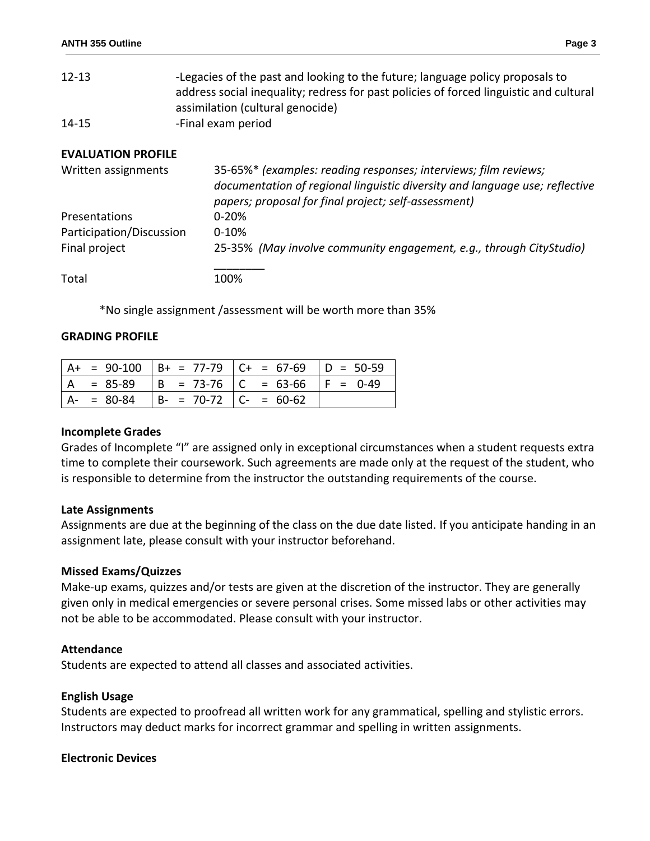| $12 - 13$ | -Legacies of the past and looking to the future; language policy proposals to          |
|-----------|----------------------------------------------------------------------------------------|
|           | address social inequality; redress for past policies of forced linguistic and cultural |
|           | assimilation (cultural genocide)                                                       |
| $14 - 15$ | -Final exam period                                                                     |

### **EVALUATION PROFILE**

| Written assignments      | 35-65%* (examples: reading responses; interviews; film reviews;<br>documentation of regional linguistic diversity and language use; reflective<br>papers; proposal for final project; self-assessment) |
|--------------------------|--------------------------------------------------------------------------------------------------------------------------------------------------------------------------------------------------------|
| Presentations            | $0 - 20%$                                                                                                                                                                                              |
| Participation/Discussion | $0 - 10%$                                                                                                                                                                                              |
| Final project            | 25-35% (May involve community engagement, e.g., through CityStudio)                                                                                                                                    |
| Total                    | 100%                                                                                                                                                                                                   |

\*No single assignment /assessment will be worth more than 35%

#### **GRADING PROFILE**

|             |                         | $  A + = 90-100   B+ = 77-79   C+ = 67-69   D = 50-59$ |  |
|-------------|-------------------------|--------------------------------------------------------|--|
|             |                         | = 85-89   B = 73-76   C = 63-66   F = 0-49             |  |
| $A - 80-84$ | $ B- = 70-72 C = 60-62$ |                                                        |  |

#### **Incomplete Grades**

Grades of Incomplete "I" are assigned only in exceptional circumstances when a student requests extra time to complete their coursework. Such agreements are made only at the request of the student, who is responsible to determine from the instructor the outstanding requirements of the course.

#### **Late Assignments**

Assignments are due at the beginning of the class on the due date listed. If you anticipate handing in an assignment late, please consult with your instructor beforehand.

#### **Missed Exams/Quizzes**

Make-up exams, quizzes and/or tests are given at the discretion of the instructor. They are generally given only in medical emergencies or severe personal crises. Some missed labs or other activities may not be able to be accommodated. Please consult with your instructor.

#### **Attendance**

Students are expected to attend all classes and associated activities.

#### **English Usage**

Students are expected to proofread all written work for any grammatical, spelling and stylistic errors. Instructors may deduct marks for incorrect grammar and spelling in written assignments.

#### **Electronic Devices**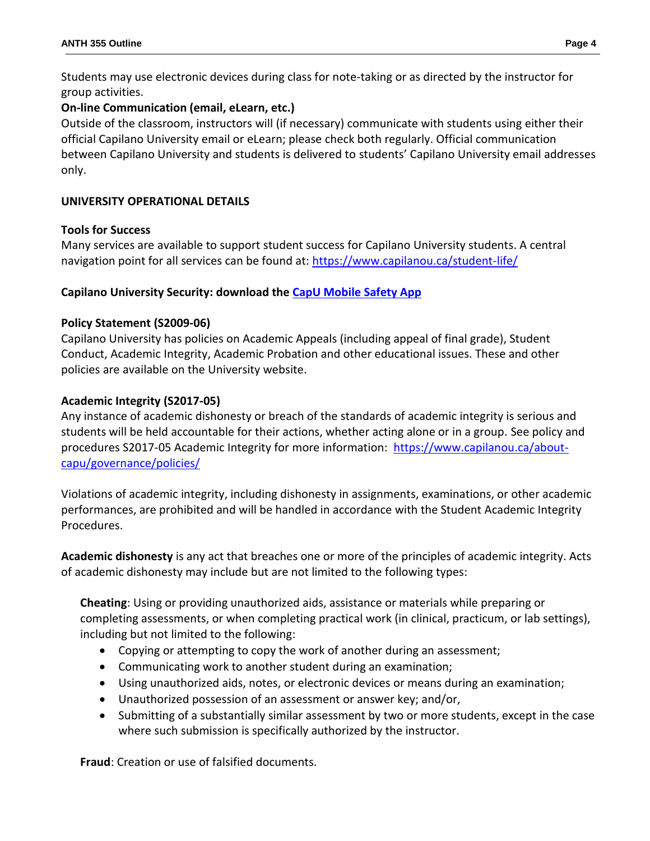Students may use electronic devices during class for note-taking or as directed by the instructor for group activities.

## **On-line Communication (email, eLearn, etc.)**

Outside of the classroom, instructors will (if necessary) communicate with students using either their official Capilano University email or eLearn; please check both regularly. Official communication between Capilano University and students is delivered to students' Capilano University email addresses only.

# **UNIVERSITY OPERATIONAL DETAILS**

## **Tools for Success**

Many services are available to support student success for Capilano University students. A central navigation point for all services can be found at:<https://www.capilanou.ca/student-life/>

## **Capilano University Security: download the [CapU Mobile Safety App](https://www.capilanou.ca/student-life/support--wellness/safety--security/capu-safe-app/)**

## **Policy Statement (S2009-06)**

Capilano University has policies on Academic Appeals (including appeal of final grade), Student Conduct, Academic Integrity, Academic Probation and other educational issues. These and other policies are available on the University website.

# **Academic Integrity (S2017-05)**

Any instance of academic dishonesty or breach of the standards of academic integrity is serious and students will be held accountable for their actions, whether acting alone or in a group. See policy and procedures S2017-05 Academic Integrity for more information: [https://www.capilanou.ca/about](https://www.capilanou.ca/about-capu/governance/policies/)[capu/governance/policies/](https://www.capilanou.ca/about-capu/governance/policies/)

Violations of academic integrity, including dishonesty in assignments, examinations, or other academic performances, are prohibited and will be handled in accordance with the Student Academic Integrity Procedures.

**Academic dishonesty** is any act that breaches one or more of the principles of academic integrity. Acts of academic dishonesty may include but are not limited to the following types:

**Cheating**: Using or providing unauthorized aids, assistance or materials while preparing or completing assessments, or when completing practical work (in clinical, practicum, or lab settings), including but not limited to the following:

- Copying or attempting to copy the work of another during an assessment;
- Communicating work to another student during an examination;
- Using unauthorized aids, notes, or electronic devices or means during an examination;
- Unauthorized possession of an assessment or answer key; and/or,
- Submitting of a substantially similar assessment by two or more students, except in the case where such submission is specifically authorized by the instructor.

**Fraud**: Creation or use of falsified documents.